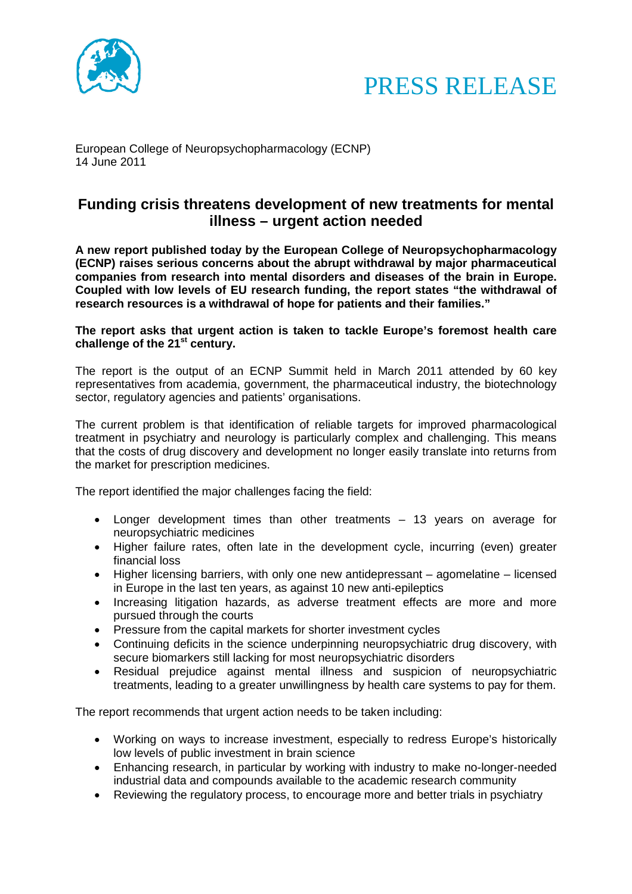



European College of Neuropsychopharmacology (ECNP) 14 June 2011

## **Funding crisis threatens development of new treatments for mental illness – urgent action needed**

**A new report published today by the European College of Neuropsychopharmacology (ECNP) raises serious concerns about the abrupt withdrawal by major pharmaceutical companies from research into mental disorders and diseases of the brain in Europe. Coupled with low levels of EU research funding, the report states "the withdrawal of research resources is a withdrawal of hope for patients and their families."**

### **The report asks that urgent action is taken to tackle Europe's foremost health care challenge of the 21st century.**

The report is the output of an ECNP Summit held in March 2011 attended by 60 key representatives from academia, government, the pharmaceutical industry, the biotechnology sector, regulatory agencies and patients' organisations.

The current problem is that identification of reliable targets for improved pharmacological treatment in psychiatry and neurology is particularly complex and challenging. This means that the costs of drug discovery and development no longer easily translate into returns from the market for prescription medicines.

The report identified the major challenges facing the field:

- Longer development times than other treatments 13 years on average for neuropsychiatric medicines
- Higher failure rates, often late in the development cycle, incurring (even) greater financial loss
- Higher licensing barriers, with only one new antidepressant agomelatine licensed in Europe in the last ten years, as against 10 new anti-epileptics
- Increasing litigation hazards, as adverse treatment effects are more and more pursued through the courts
- Pressure from the capital markets for shorter investment cycles
- Continuing deficits in the science underpinning neuropsychiatric drug discovery, with secure biomarkers still lacking for most neuropsychiatric disorders
- Residual prejudice against mental illness and suspicion of neuropsychiatric treatments, leading to a greater unwillingness by health care systems to pay for them.

The report recommends that urgent action needs to be taken including:

- Working on ways to increase investment, especially to redress Europe's historically low levels of public investment in brain science
- Enhancing research, in particular by working with industry to make no-longer-needed industrial data and compounds available to the academic research community
- Reviewing the regulatory process, to encourage more and better trials in psychiatry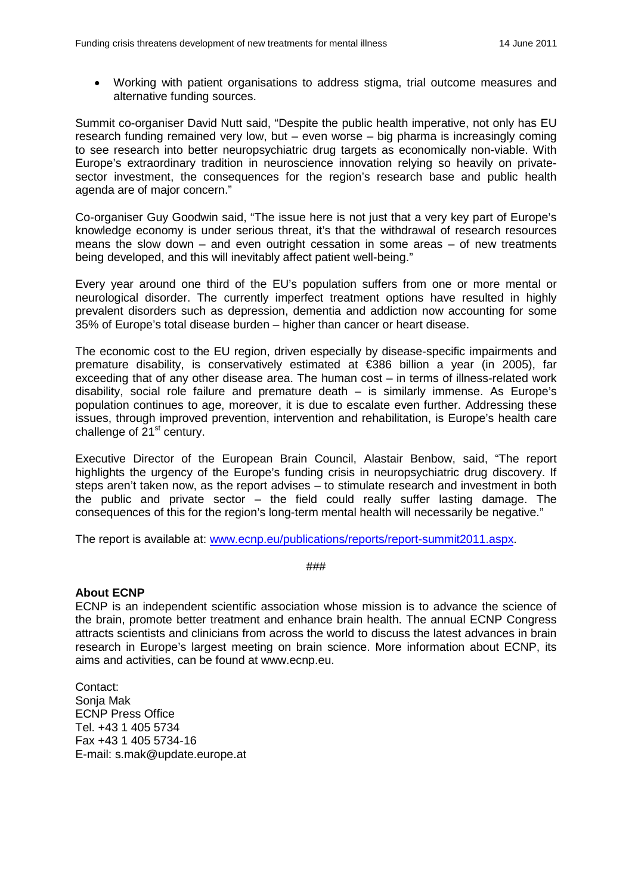• Working with patient organisations to address stigma, trial outcome measures and alternative funding sources.

Summit co-organiser David Nutt said, "Despite the public health imperative, not only has EU research funding remained very low, but – even worse – big pharma is increasingly coming to see research into better neuropsychiatric drug targets as economically non-viable. With Europe's extraordinary tradition in neuroscience innovation relying so heavily on privatesector investment, the consequences for the region's research base and public health agenda are of major concern."

Co-organiser Guy Goodwin said, "The issue here is not just that a very key part of Europe's knowledge economy is under serious threat, it's that the withdrawal of research resources means the slow down – and even outright cessation in some areas – of new treatments being developed, and this will inevitably affect patient well-being."

Every year around one third of the EU's population suffers from one or more mental or neurological disorder. The currently imperfect treatment options have resulted in highly prevalent disorders such as depression, dementia and addiction now accounting for some 35% of Europe's total disease burden – higher than cancer or heart disease.

The economic cost to the EU region, driven especially by disease-specific impairments and premature disability, is conservatively estimated at €386 billion a year (in 2005), far exceeding that of any other disease area. The human cost – in terms of illness-related work disability, social role failure and premature death – is similarly immense. As Europe's population continues to age, moreover, it is due to escalate even further. Addressing these issues, through improved prevention, intervention and rehabilitation, is Europe's health care challenge of  $21<sup>st</sup>$  century.

Executive Director of the European Brain Council, Alastair Benbow, said, "The report highlights the urgency of the Europe's funding crisis in neuropsychiatric drug discovery. If steps aren't taken now, as the report advises – to stimulate research and investment in both the public and private sector – the field could really suffer lasting damage. The consequences of this for the region's long-term mental health will necessarily be negative."

The report is available at: [www.ecnp.eu/publications/reports/report-summit2011.aspx.](http://www.ecnp.eu/publications/reports/report-summit2011.aspx)

###

#### **About ECNP**

ECNP is an independent scientific association whose mission is to advance the science of the brain, promote better treatment and enhance brain health. The annual ECNP Congress attracts scientists and clinicians from across the world to discuss the latest advances in brain research in Europe's largest meeting on brain science. More information about ECNP, its aims and activities, can be found at www.ecnp.eu.

Contact: Sonja Mak ECNP Press Office Tel. +43 1 405 5734 Fax +43 1 405 5734-16 E-mail: s.mak@update.europe.at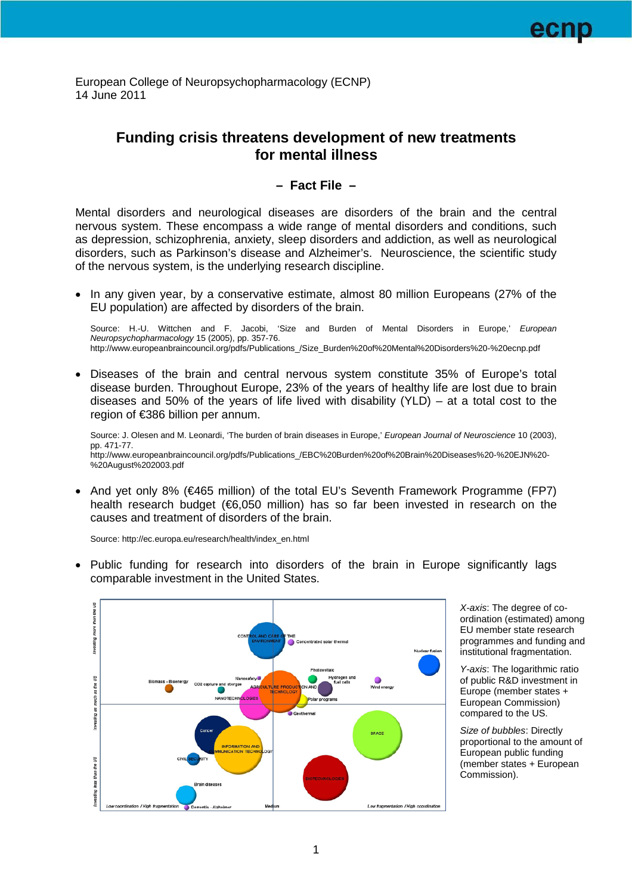European College of Neuropsychopharmacology (ECNP) 14 June 2011

# **Funding crisis threatens development of new treatments for mental illness**

### **– Fact File –**

Mental disorders and neurological diseases are disorders of the brain and the central nervous system. These encompass a wide range of mental disorders and conditions, such as depression, schizophrenia, anxiety, sleep disorders and addiction, as well as neurological disorders, such as Parkinson's disease and Alzheimer's. Neuroscience, the scientific study of the nervous system, is the underlying research discipline.

• In any given year, by a conservative estimate, almost 80 million Europeans (27% of the EU population) are affected by disorders of the brain.

Source: H.-U. Wittchen and F. Jacobi, 'Size and Burden of Mental Disorders in Europe,' *European Neuropsychopharmacology* 15 (2005), pp. 357-76. http://www.europeanbraincouncil.org/pdfs/Publications\_/Size\_Burden%20of%20Mental%20Disorders%20-%20ecnp.pdf

• Diseases of the brain and central nervous system constitute 35% of Europe's total disease burden. Throughout Europe, 23% of the years of healthy life are lost due to brain diseases and 50% of the years of life lived with disability (YLD) – at a total cost to the region of €386 billion per annum.

Source: J. Olesen and M. Leonardi, 'The burden of brain diseases in Europe,' *European Journal of Neuroscience* 10 (2003), pp. 471-77. http://www.europeanbraincouncil.org/pdfs/Publications\_/EBC%20Burden%20of%20Brain%20Diseases%20-%20EJN%20- %20August%202003.pdf

• And yet only 8% (€465 million) of the total EU's Seventh Framework Programme (FP7) health research budget (€6,050 million) has so far been invested in research on the causes and treatment of disorders of the brain.

Source: http://ec.europa.eu/research/health/index\_en.html

• Public funding for research into disorders of the brain in Europe significantly lags comparable investment in the United States.



*X-axis*: The degree of coordination (estimated) among EU member state research programmes and funding and institutional fragmentation.

*Y-axis*: The logarithmic ratio of public R&D investment in Europe (member states + European Commission) compared to the US.

*Size of bubbles*: Directly proportional to the amount of European public funding (member states + European Commission).